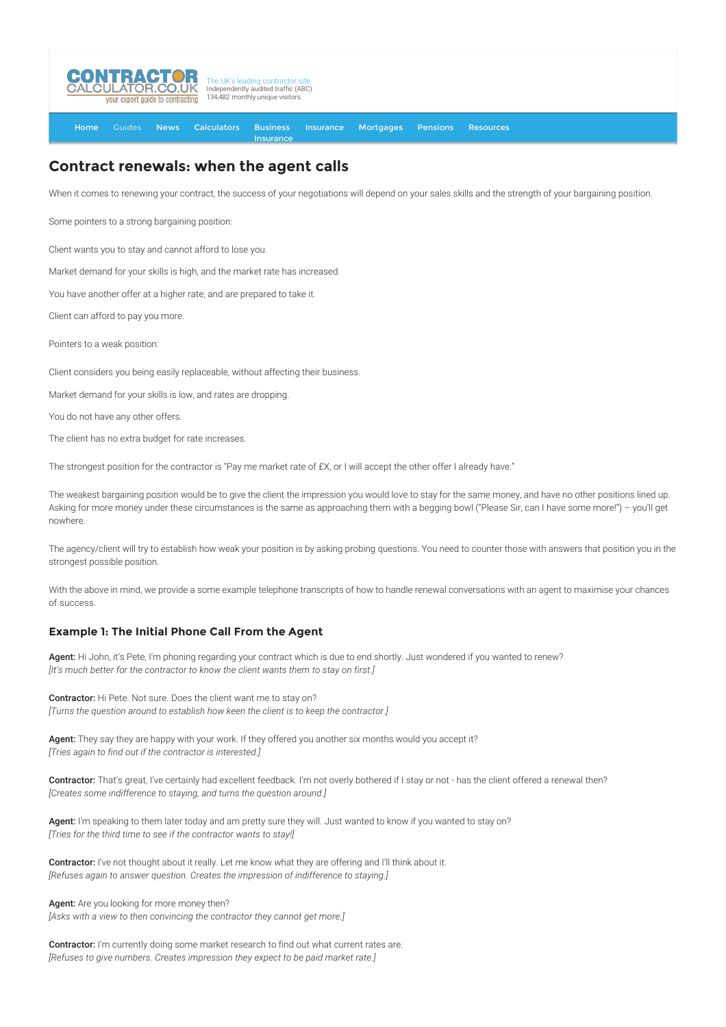

[Home](http://www.contractorcalculator.co.uk/) [Guides](http://www.contractorcalculator.co.uk/Articles.aspx) [News](http://www.contractorcalculator.co.uk/Contractor_News.aspx) [Calculators](http://www.contractorcalculator.co.uk/Calculators.aspx) Business **[Insurance](http://www.contractorcalculator.co.uk/Contractor_Insurances.aspx)** [Insurance](http://www.contractorcalculator.co.uk/Insurance.aspx) [Mortgages](http://www.contractorcalculator.co.uk/Contractor_Mortgages.aspx) [Pensions](http://www.contractorcalculator.co.uk/Contractor_Pensions.aspx) [Resources](http://www.contractorcalculator.co.uk/Contractor_Resources.aspx)

## **Contract renewals: when the agent calls**

When it comes to renewing your contract, the success of your negotiations will depend on your sales skills and the strength of your bargaining position.

Some pointers to a strong bargaining position:

Client wants you to stay and cannot afford to lose you.

Market demand for your skills is high, and the market rate has increased.

You have another offer at a higher rate, and are prepared to take it.

Client can afford to pay you more.

Pointers to a weak position:

Client considers you being easily replaceable, without affecting their business.

Market demand for your skills is low, and rates are dropping.

You do not have any other offers.

The client has no extra budget for rate increases.

The strongest position for the contractor is "Pay me market rate of £X, or I will accept the other offer I already have."

The weakest bargaining position would be to give the client the impression you would love to stay for the same money, and have no other positions lined up. Asking for more money under these circumstances is the same as approaching them with a begging bowl ("Please Sir, can I have some more!") – you'll get nowhere.

The agency/client will try to establish how weak your position is by asking probing questions. You need to counter those with answers that position you in the strongest possible position.

With the above in mind, we provide a some example telephone transcripts of how to handle renewal conversations with an agent to maximise your chances of success.

## **Example 1: The Initial Phone Call From the Agent**

Agent: Hi John, it's Pete, I'm phoning regarding your contract which is due to end shortly. Just wondered if you wanted to renew? *[It's much better for the contractor to know the client wants them to stay on first.]*

Contractor: Hi Pete. Not sure. Does the client want me to stay on? *[Turns the question around to establish how keen the client is to keep the contractor.]*

Agent: They say they are happy with your work. If they offered you another six months would you accept it? *[Tries again to find out if the contractor is interested.]*

Contractor: That's great, I've certainly had excellent feedback. I'm not overly bothered if I stay or not - has the client offered a renewal then? *[Creates some indifference to staying, and turns the question around.]*

Agent: I'm speaking to them later today and am pretty sure they will. Just wanted to know if you wanted to stay on? *[Tries for the third time to see if the contractor wants to stay!]*

Contractor: I've not thought about it really. Let me know what they are offering and I'll think about it. *[Refuses again to answer question. Creates the impression of indifference to staying.]*

Agent: Are you looking for more money then? *[Asks with a view to then convincing the contractor they cannot get more.]*

Contractor: I'm currently doing some market research to find out what current rates are. *[Refuses to give numbers. Creates impression they expect to be paid market rate.]*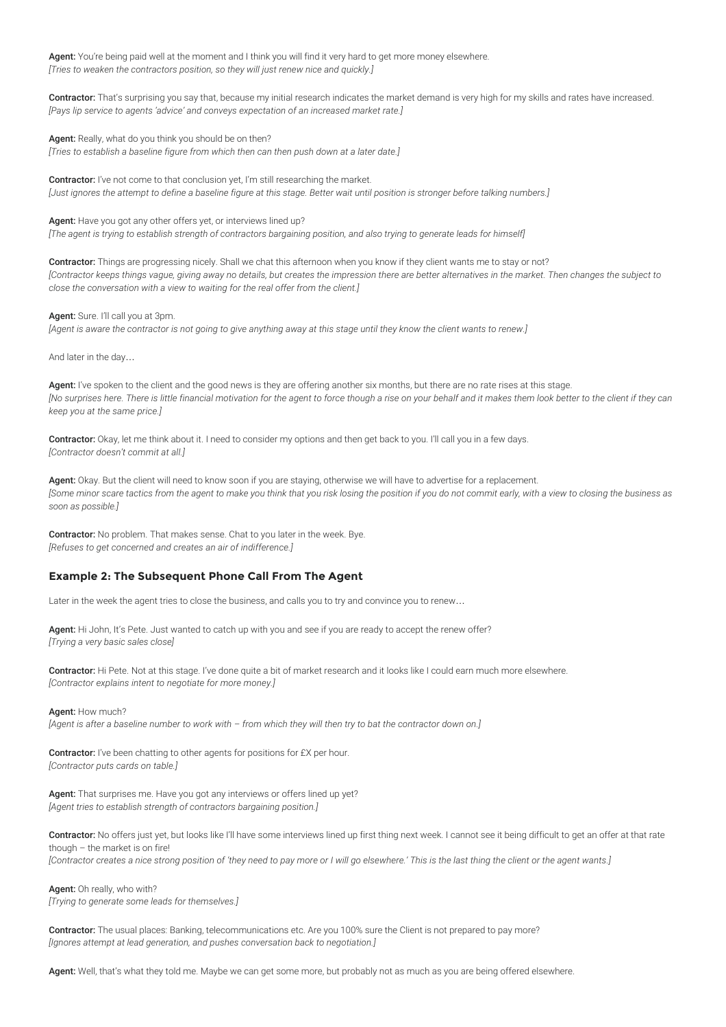Agent: You're being paid well at the moment and I think you will find it very hard to get more money elsewhere. *[Tries to weaken the contractors position, so they will just renew nice and quickly.]*

Contractor: That's surprising you say that, because my initial research indicates the market demand is very high for my skills and rates have increased. *[Pays lip service to agents 'advice' and conveys expectation of an increased market rate.]*

Agent: Really, what do you think you should be on then?

*[Tries to establish a baseline figure from which then can then push down at a later date.]*

Contractor: I've not come to that conclusion yet, I'm still researching the market. *[Just ignores the attempt to define a baseline figure at this stage. Better wait until position is stronger before talking numbers.]*

Agent: Have you got any other offers yet, or interviews lined up? *[The agent is trying to establish strength of contractors bargaining position, and also trying to generate leads for himself]*

Contractor: Things are progressing nicely. Shall we chat this afternoon when you know if they client wants me to stay or not? *[Contractor keeps things vague, giving away no details, but creates the impression there are better alternatives in the market. Then changes the subject to close the conversation with a view to waiting for the real offer from the client.]*

Agent: Sure. I'll call you at 3pm.

*[Agent is aware the contractor is not going to give anything away at this stage until they know the client wants to renew.]*

And later in the day…

Agent: I've spoken to the client and the good news is they are offering another six months, but there are no rate rises at this stage. *[No surprises here. There is little financial motivation for the agent to force though a rise on your behalf and it makes them look better to the client if they can keep you at the same price.]*

Contractor: Okay, let me think about it. I need to consider my options and then get back to you. I'll call you in a few days. *[Contractor doesn't commit at all.]*

Agent: Okay. But the client will need to know soon if you are staying, otherwise we will have to advertise for a replacement. *[Some minor scare tactics from the agent to make you think that you risk losing the position if you do not commit early, with a view to closing the business as soon as possible.]*

Contractor: No problem. That makes sense. Chat to you later in the week. Bye. *[Refuses to get concerned and creates an air of indifference.]*

## **Example 2: The Subsequent Phone Call From The Agent**

Later in the week the agent tries to close the business, and calls you to try and convince you to renew…

Agent: Hi John, It's Pete. Just wanted to catch up with you and see if you are ready to accept the renew offer? *[Trying a very basic sales close]*

Contractor: Hi Pete. Not at this stage. I've done quite a bit of market research and it looks like I could earn much more elsewhere. *[Contractor explains intent to negotiate for more money.]*

Agent: How much?

*[Agent is after a baseline number to work with – from which they will then try to bat the contractor down on.]*

Contractor: I've been chatting to other agents for positions for £X per hour. *[Contractor puts cards on table.]*

Agent: That surprises me. Have you got any interviews or offers lined up yet? *[Agent tries to establish strength of contractors bargaining position.]*

Contractor: No offers just yet, but looks like I'll have some interviews lined up first thing next week. I cannot see it being difficult to get an offer at that rate though – the market is on fire! *[Contractor creates a nice strong position of 'they need to pay more or I will go elsewhere.' This is the last thing the client or the agent wants.]*

Agent: Oh really, who with? *[Trying to generate some leads for themselves.]*

Contractor: The usual places: Banking, telecommunications etc. Are you 100% sure the Client is not prepared to pay more? *[Ignores attempt at lead generation, and pushes conversation back to negotiation.]*

Agent: Well, that's what they told me. Maybe we can get some more, but probably not as much as you are being offered elsewhere.